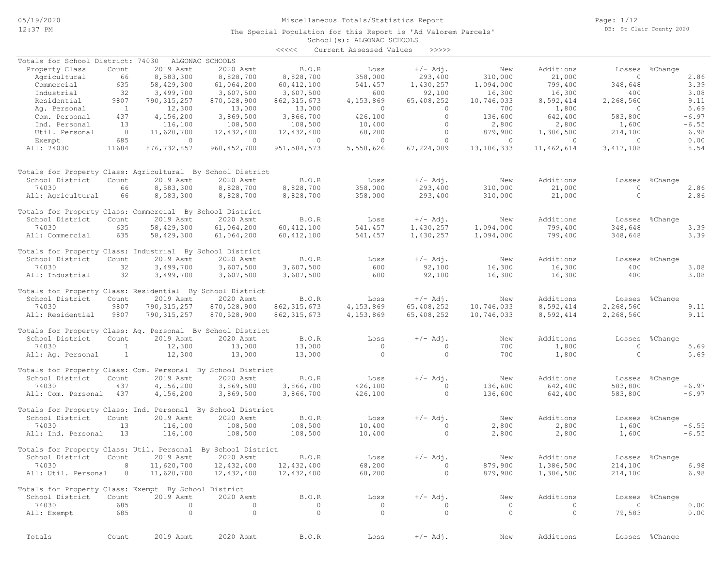The Special Population for this Report is 'Ad Valorem Parcels'

Page: 1/12 DB: St Clair County 2020

# School(s): ALGONAC SCHOOLS

|                                                              |                |               |                 | <<<<          | Current Assessed Values | >>>>>      |              |            |                |                |
|--------------------------------------------------------------|----------------|---------------|-----------------|---------------|-------------------------|------------|--------------|------------|----------------|----------------|
| Totals for School District: 74030                            |                |               | ALGONAC SCHOOLS |               |                         |            |              |            |                |                |
| Property Class                                               | Count          | 2019 Asmt     | 2020 Asmt       | B.O.R         | Loss                    | $+/-$ Adj. | New          | Additions  | Losses         | %Change        |
| Agricultural                                                 | 66             | 8,583,300     | 8,828,700       | 8,828,700     | 358,000                 | 293,400    | 310,000      | 21,000     | $\circ$        | 2.86           |
| Commercial                                                   | 635            | 58,429,300    | 61,064,200      | 60, 412, 100  | 541,457                 | 1,430,257  | 1,094,000    | 799,400    | 348,648        | 3.39           |
| Industrial                                                   | 32             | 3,499,700     | 3,607,500       | 3,607,500     | 600                     | 92,100     | 16,300       | 16,300     | 400            | 3.08           |
| Residential                                                  | 9807           | 790, 315, 257 | 870,528,900     | 862, 315, 673 | 4,153,869               | 65,408,252 | 10,746,033   | 8,592,414  | 2,268,560      | 9.11           |
| Ag. Personal                                                 | $\overline{1}$ | 12,300        | 13,000          | 13,000        | $\circ$                 | $\circ$    | 700          | 1,800      | $\Omega$       | 5.69           |
| Com. Personal                                                | 437            | 4,156,200     | 3,869,500       | 3,866,700     | 426,100                 | $\circ$    | 136,600      | 642,400    | 583,800        | $-6.97$        |
| Ind. Personal                                                | 13             | 116,100       | 108,500         | 108,500       | 10,400                  | $\circ$    | 2,800        | 2,800      | 1,600          | $-6.55$        |
| Util. Personal                                               | 8              | 11,620,700    | 12,432,400      | 12,432,400    | 68,200                  | $\circ$    | 879,900      | 1,386,500  | 214,100        | 6.98           |
| Exempt                                                       | 685            | $\circ$       | $\overline{0}$  | $\circ$       | $\circ$                 | 0          | $\circ$      | $\circ$    | $\Omega$       | 0.00           |
| All: 74030                                                   | 11684          | 876, 732, 857 | 960, 452, 700   | 951, 584, 573 | 5,558,626               | 67,224,009 | 13, 186, 333 | 11,462,614 | 3, 417, 108    | 8.54           |
|                                                              |                |               |                 |               |                         |            |              |            |                |                |
| Totals for Property Class: Agricultural By School District   |                |               |                 |               |                         |            |              |            |                |                |
| School District                                              | Count          | 2019 Asmt     | 2020 Asmt       | B.O.R         | Loss                    | $+/-$ Adj. | New          | Additions  | Losses         | %Change        |
| 74030                                                        | 66             | 8,583,300     | 8,828,700       | 8,828,700     | 358,000                 | 293,400    | 310,000      | 21,000     | $\circ$        | 2.86           |
| All: Agricultural                                            | 66             | 8,583,300     | 8,828,700       | 8,828,700     | 358,000                 | 293,400    | 310,000      | 21,000     | $\Omega$       | 2.86           |
| Totals for Property Class: Commercial By School District     |                |               |                 |               |                         |            |              |            |                |                |
| School District                                              | Count          | 2019 Asmt     | 2020 Asmt       | B.O.R         | Loss                    | $+/-$ Adj. | New          | Additions  | Losses         | %Change        |
| 74030                                                        | 635            | 58,429,300    | 61,064,200      | 60, 412, 100  | 541,457                 | 1,430,257  | 1,094,000    | 799,400    | 348,648        | 3.39           |
| All: Commercial                                              | 635            | 58,429,300    | 61,064,200      | 60, 412, 100  | 541,457                 | 1,430,257  | 1,094,000    | 799,400    | 348,648        | 3.39           |
|                                                              |                |               |                 |               |                         |            |              |            |                |                |
| Totals for Property Class: Industrial By School District     |                |               |                 |               |                         |            |              |            |                |                |
| School District                                              | Count          | 2019 Asmt     | 2020 Asmt       | B.O.R         | Loss                    | $+/-$ Adj. | New          | Additions  | Losses         | %Change        |
| 74030                                                        | 32             | 3,499,700     | 3,607,500       | 3,607,500     | 600                     | 92,100     | 16,300       | 16,300     | 400            | 3.08           |
| All: Industrial                                              | 32             | 3,499,700     | 3,607,500       | 3,607,500     | 600                     | 92,100     | 16,300       | 16,300     | 400            | 3.08           |
| Totals for Property Class: Residential By School District    |                |               |                 |               |                         |            |              |            |                |                |
| School District                                              | Count          | 2019 Asmt     | 2020 Asmt       | B.O.R         | Loss                    | $+/-$ Adj. | New          | Additions  | Losses         | %Change        |
| 74030                                                        | 9807           | 790, 315, 257 | 870,528,900     | 862, 315, 673 | 4,153,869               | 65,408,252 | 10,746,033   | 8,592,414  | 2,268,560      | 9.11           |
| All: Residential                                             | 9807           | 790, 315, 257 | 870,528,900     | 862, 315, 673 | 4,153,869               | 65,408,252 | 10,746,033   | 8,592,414  | 2,268,560      | 9.11           |
|                                                              |                |               |                 |               |                         |            |              |            |                |                |
| Totals for Property Class: Ag. Personal By School District   |                |               |                 |               |                         |            |              |            |                |                |
| School District                                              | Count          | 2019 Asmt     | 2020 Asmt       | B.O.R         | Loss                    | $+/-$ Adj. | New          | Additions  | Losses         | %Change        |
| 74030                                                        | $\mathbf{1}$   | 12,300        | 13,000          | 13,000        | $\circ$                 | $\circ$    | 700          | 1,800      | $\circ$        | 5.69           |
| All: Aq. Personal                                            | $\mathbf{1}$   | 12,300        | 13,000          | 13,000        | $\circ$                 | $\circ$    | 700          | 1,800      | $\circ$        | 5.69           |
| Totals for Property Class: Com. Personal By School District  |                |               |                 |               |                         |            |              |            |                |                |
| School District                                              | Count          | 2019 Asmt     | 2020 Asmt       | B.O.R         | Loss                    | $+/-$ Adj. | New          | Additions  | Losses         | %Change        |
| 74030                                                        | 437            | 4,156,200     | 3,869,500       | 3,866,700     | 426,100                 | $\circ$    | 136,600      | 642,400    | 583,800        | $-6.97$        |
| All: Com. Personal 437                                       |                | 4,156,200     | 3,869,500       | 3,866,700     | 426,100                 | $\circ$    | 136,600      | 642,400    | 583,800        | $-6.97$        |
| Totals for Property Class: Ind. Personal By School District  |                |               |                 |               |                         |            |              |            |                |                |
| School District                                              | Count          | 2019 Asmt     | 2020 Asmt       | B.O.R         | Loss                    | $+/-$ Adj. | New          | Additions  | Losses         | %Change        |
| 74030                                                        | 13             | 116,100       | 108,500         | 108,500       | 10,400                  | $\circ$    | 2,800        | 2,800      | 1,600          | $-6.55$        |
| All: Ind. Personal                                           | 13             | 116,100       | 108,500         | 108,500       | 10,400                  | $\circ$    | 2,800        | 2,800      | 1,600          | $-6.55$        |
| Totals for Property Class: Util. Personal By School District |                |               |                 |               |                         |            |              |            |                |                |
| School District                                              | Count          | 2019 Asmt     | 2020 Asmt       | <b>B.O.R</b>  | Loss                    | $+/-$ Adj. | New          | Additions  |                | Losses %Change |
| 74030                                                        | 8              | 11,620,700    | 12,432,400      | 12,432,400    | 68,200                  | 0          | 879,900      | 1,386,500  | 214,100        | 6.98           |
| All: Util. Personal 8                                        |                | 11,620,700    | 12,432,400      | 12,432,400    | 68,200                  | $\circ$    | 879,900      | 1,386,500  | 214,100        | 6.98           |
| Totals for Property Class: Exempt By School District         |                |               |                 |               |                         |            |              |            |                |                |
| School District                                              | Count          | 2019 Asmt     | 2020 Asmt       | B.O.R         | Loss                    | $+/-$ Adj. | New          | Additions  |                | Losses %Change |
| 74030                                                        | 685            | $\circ$       | $\circ$         | $\circ$       | $\circ$                 | 0          | $\circ$      | $\circ$    | $\overline{0}$ | 0.00           |
| All: Exempt                                                  | 685            | $\circ$       | $\circ$         | $\circ$       | $\circ$                 | $\circ$    | $\circ$      | $\circ$    | 79,583         | 0.00           |
|                                                              |                |               |                 |               |                         |            |              |            |                |                |
| Totals                                                       | Count          | 2019 Asmt     | 2020 Asmt       | B.O.R         | Loss                    | $+/-$ Adj. | New          | Additions  |                | Losses %Change |
|                                                              |                |               |                 |               |                         |            |              |            |                |                |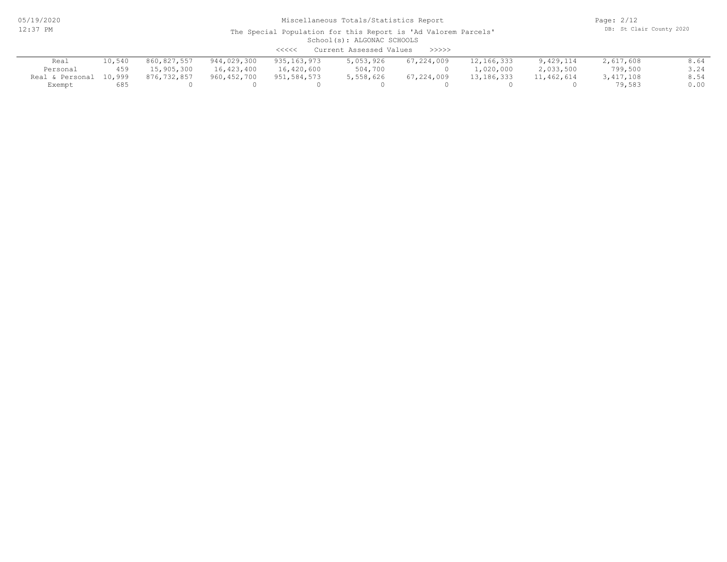05/19/2020 12:37 PM

## Miscellaneous Totals/Statistics Report

Page: 2/12 DB: St Clair County 2020

| Current Assessed Values<br>$\prec$ <<<<<br>>>>>> |        |             |             |             |           |            |              |            |           |      |
|--------------------------------------------------|--------|-------------|-------------|-------------|-----------|------------|--------------|------------|-----------|------|
| Real                                             | 10,540 | 860,827,557 | 944,029,300 | 935,163,973 | 5,053,926 | 67,224,009 | 12,166,333   | 9,429,114  | 2,617,608 | 8.64 |
| Personal                                         | 459    | 15,905,300  | 16,423,400  | 16,420,600  | 504,700   |            | 1,020,000    | 2,033,500  | 799,500   | 3.24 |
| Real & Personal                                  | 10,999 | 876,732,857 | 960,452,700 | 951,584,573 | 5,558,626 | 67,224,009 | 13, 186, 333 | 11,462,614 | 3,417,108 | 8.54 |
| Exempt                                           | 685    |             |             |             |           |            |              |            | 79,583    | 0.00 |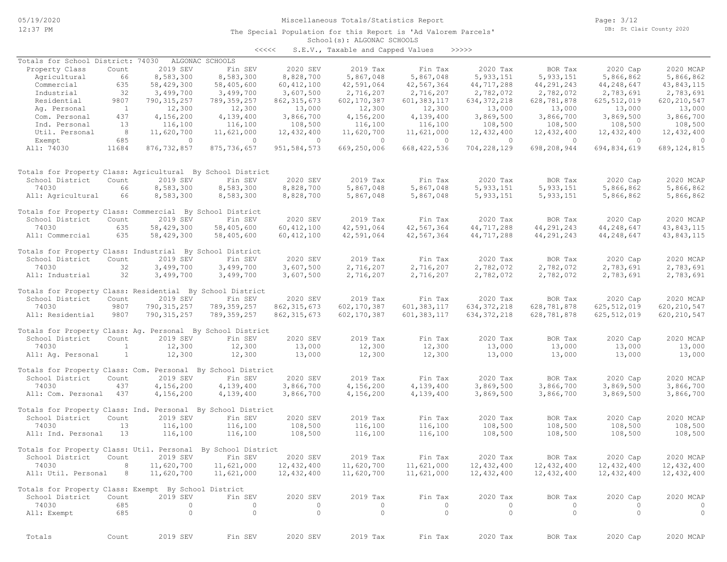The Special Population for this Report is 'Ad Valorem Parcels'

Page: 3/12 DB: St Clair County 2020

## School(s): ALGONAC SCHOOLS

| くくくくく | S.E.V., Taxable and Capped Values |  |  |  | >>>>> |
|-------|-----------------------------------|--|--|--|-------|
|-------|-----------------------------------|--|--|--|-------|

| Totals for School District: 74030                            |                |                | ALGONAC SCHOOLS |               |                       |               |                                  |              |                |                |
|--------------------------------------------------------------|----------------|----------------|-----------------|---------------|-----------------------|---------------|----------------------------------|--------------|----------------|----------------|
| Property Class                                               | Count          | 2019 SEV       | Fin SEV         | 2020 SEV      | 2019 Tax              | Fin Tax       | 2020 Tax                         | BOR Tax      | 2020 Cap       | 2020 MCAP      |
| Agricultural                                                 | 66             | 8,583,300      | 8,583,300       | 8,828,700     | 5,867,048             | 5,867,048     | 5, 933, 151                      | 5, 933, 151  | 5,866,862      | 5,866,862      |
| Commercial                                                   | 635            | 58,429,300     | 58,405,600      | 60, 412, 100  | 42,591,064            | 42,567,364    | 44,717,288                       | 44,291,243   | 44,248,647     | 43,843,115     |
| Industrial                                                   | 32             | 3,499,700      | 3,499,700       | 3,607,500     | 2,716,207             | 2,716,207     | 2,782,072                        | 2,782,072    | 2,783,691      | 2,783,691      |
| Residential                                                  | 9807           | 790, 315, 257  | 789, 359, 257   | 862, 315, 673 | 602,170,387           | 601, 383, 117 | 634, 372, 218                    | 628,781,878  | 625, 512, 019  | 620, 210, 547  |
| Ag. Personal                                                 | $\overline{1}$ | 12,300         | 12,300          | 13,000        | 12,300                | 12,300        | 13,000                           | 13,000       | 13,000         | 13,000         |
| Com. Personal                                                | 437            | 4,156,200      | 4,139,400       | 3,866,700     | 4,156,200             | 4,139,400     | 3,869,500                        | 3,866,700    | 3,869,500      | 3,866,700      |
| Ind. Personal                                                | 13             | 116,100        | 116,100         | 108,500       | 116,100               | 116,100       | 108,500                          | 108,500      | 108,500        | 108,500        |
| Util. Personal                                               | 8              | 11,620,700     | 11,621,000      | 12,432,400    | 11,620,700            | 11,621,000    | 12,432,400                       | 12,432,400   | 12,432,400     | 12, 432, 400   |
| Exempt                                                       | 685<br>11684   | $\circ$        | $\circ$         | $\circ$       | $\circ$               | $\circ$       | $\overline{0}$<br>704,228,129    | $\circ$      | $\overline{0}$ | $\circ$        |
| All: 74030                                                   |                | 876, 732, 857  | 875,736,657     | 951, 584, 573 | 669,250,006           | 668, 422, 536 |                                  | 698,208,944  | 694,834,619    | 689, 124, 815  |
| Totals for Property Class: Agricultural By School District   |                |                |                 |               |                       |               |                                  |              |                |                |
| School District                                              | Count          | 2019 SEV       | Fin SEV         | 2020 SEV      | 2019 Tax              | Fin Tax       | 2020 Tax                         | BOR Tax      | 2020 Cap       | 2020 MCAP      |
| 74030                                                        | 66             | 8,583,300      | 8,583,300       | 8,828,700     | 5,867,048             | 5,867,048     | 5, 933, 151                      | 5, 933, 151  | 5,866,862      | 5,866,862      |
| All: Agricultural                                            | 66             | 8,583,300      | 8,583,300       | 8,828,700     | 5,867,048             | 5,867,048     | 5,933,151                        | 5, 933, 151  | 5,866,862      | 5,866,862      |
| Totals for Property Class: Commercial By School District     |                |                |                 |               |                       |               |                                  |              |                |                |
| School District                                              | Count          | 2019 SEV       | Fin SEV         | 2020 SEV      | 2019 Tax              | Fin Tax       | 2020 Tax                         | BOR Tax      | 2020 Cap       | 2020 MCAP      |
| 74030                                                        | 635            | 58,429,300     | 58,405,600      | 60, 412, 100  | 42,591,064            | 42,567,364    | 44,717,288                       | 44, 291, 243 | 44,248,647     | 43, 843, 115   |
| All: Commercial                                              | 635            | 58,429,300     | 58,405,600      | 60, 412, 100  | 42,591,064            | 42,567,364    | 44,717,288                       | 44,291,243   | 44,248,647     | 43,843,115     |
| Totals for Property Class: Industrial By School District     |                |                |                 |               |                       |               |                                  |              |                |                |
| School District                                              | Count          | 2019 SEV       | Fin SEV         | 2020 SEV      | 2019 Tax              | Fin Tax       | 2020 Tax                         | BOR Tax      | 2020 Cap       | 2020 MCAP      |
| 74030                                                        | 32             | 3,499,700      | 3,499,700       | 3,607,500     | 2,716,207             | 2,716,207     | 2,782,072                        | 2,782,072    | 2,783,691      | 2,783,691      |
| All: Industrial                                              | 32             | 3,499,700      | 3,499,700       | 3,607,500     | 2,716,207             | 2,716,207     | 2,782,072                        | 2,782,072    | 2,783,691      | 2,783,691      |
| Totals for Property Class: Residential By School District    |                |                |                 |               |                       |               |                                  |              |                |                |
| School District                                              | Count          | 2019 SEV       | Fin SEV         | 2020 SEV      | 2019 Tax              | Fin Tax       | 2020 Tax                         | BOR Tax      | 2020 Cap       | 2020 MCAP      |
| 74030                                                        | 9807           | 790, 315, 257  | 789, 359, 257   | 862, 315, 673 | 602, 170, 387         | 601, 383, 117 | 634, 372, 218                    | 628,781,878  | 625, 512, 019  | 620, 210, 547  |
| All: Residential                                             | 9807           | 790, 315, 257  | 789, 359, 257   | 862, 315, 673 | 602, 170, 387         | 601, 383, 117 | 634, 372, 218                    | 628,781,878  | 625, 512, 019  | 620, 210, 547  |
| Totals for Property Class: Ag. Personal By School District   |                |                |                 |               |                       |               |                                  |              |                |                |
| School District                                              | Count          | 2019 SEV       | Fin SEV         | 2020 SEV      | 2019 Tax              | Fin Tax       | 2020 Tax                         | BOR Tax      | 2020 Cap       | 2020 MCAP      |
| 74030                                                        | 1              | 12,300         | 12,300          | 13,000        | 12,300                | 12,300        | 13,000                           | 13,000       | 13,000         | 13,000         |
| All: Aq. Personal                                            | $\mathbf{1}$   | 12,300         | 12,300          | 13,000        | 12,300                | 12,300        | 13,000                           | 13,000       | 13,000         | 13,000         |
| Totals for Property Class: Com. Personal By School District  |                |                |                 |               |                       |               |                                  |              |                |                |
| School District                                              | Count          | 2019 SEV       | Fin SEV         | 2020 SEV      | 2019 Tax              | Fin Tax       | 2020 Tax                         | BOR Tax      | 2020 Cap       | 2020 MCAP      |
| 74030                                                        | 437            | 4,156,200      | 4,139,400       | 3,866,700     | 4,156,200             | 4,139,400     | 3,869,500                        | 3,866,700    | 3,869,500      | 3,866,700      |
| All: Com. Personal                                           | 437            | 4,156,200      | 4,139,400       | 3,866,700     | 4,156,200             | 4,139,400     | 3,869,500                        | 3,866,700    | 3,869,500      | 3,866,700      |
| Totals for Property Class: Ind. Personal By School District  |                |                |                 |               |                       |               |                                  |              |                |                |
| School District                                              | Count          | 2019 SEV       | Fin SEV         | 2020 SEV      | 2019 Tax              | Fin Tax       | 2020 Tax                         | BOR Tax      | 2020 Cap       | 2020 MCAP      |
| 74030                                                        | 13             | 116,100        | 116,100         | 108,500       | 116,100               | 116,100       | 108,500                          | 108,500      | 108,500        | 108,500        |
| All: Ind. Personal                                           | 13             | 116,100        | 116,100         | 108,500       | 116,100               | 116,100       | 108,500                          | 108,500      | 108,500        | 108,500        |
| Totals for Property Class: Util. Personal By School District |                |                |                 |               |                       |               |                                  |              |                |                |
| School District                                              | Count          | 2019 SEV       | Fin SEV         | 2020 SEV      | 2019 Tax              | Fin Tax       | 2020 Tax                         | BOR Tax      | 2020 Cap       | 2020 MCAP      |
| 74030 8 11,620,700 11,621,000                                |                |                |                 | 12,432,400    | 11,620,700 11,621,000 |               | 12,432,400 12,432,400 12,432,400 |              |                | 12,432,400     |
| All: Util. Personal 8                                        |                | 11,620,700     | 11,621,000      | 12,432,400    | 11,620,700            | 11,621,000    | 12,432,400                       | 12,432,400   | 12,432,400     | 12,432,400     |
| Totals for Property Class: Exempt By School District         |                |                |                 |               |                       |               |                                  |              |                |                |
| School District                                              | Count          | 2019 SEV       | Fin SEV         | 2020 SEV      | 2019 Tax              | Fin Tax       | 2020 Tax                         | BOR Tax      | 2020 Cap       | 2020 MCAP      |
| 74030                                                        | 685            | $\overline{0}$ | $\overline{0}$  | $\circ$       | $\circ$               | $\circ$       | $\circ$                          | $\circ$      | $\circ$        | $\circ$        |
| All: Exempt                                                  | 685            | $\overline{0}$ | $\overline{0}$  | $\circ$       | $\overline{0}$        | $\circ$       | $\overline{0}$                   | $\circ$      | $\overline{0}$ | $\overline{0}$ |
|                                                              |                |                |                 |               |                       |               |                                  |              |                |                |
| Totals                                                       | Count          | 2019 SEV       | Fin SEV         | 2020 SEV      | 2019 Tax              | Fin Tax       | 2020 Tax                         | BOR Tax      | 2020 Cap       | 2020 MCAP      |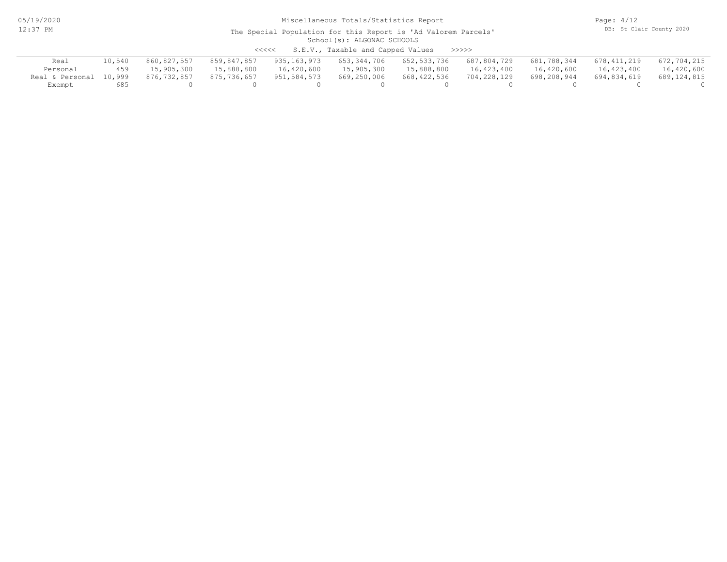05/19/2020 12:37 PM

# Miscellaneous Totals/Statistics Report

Page: 4/12 DB: St Clair County 2020

#### School(s): ALGONAC SCHOOLS The Special Population for this Report is 'Ad Valorem Parcels'

<<<<< S.E.V., Taxable and Capped Values >>>>>

| Real                   | 10,540 | 860,827,557 | 859,847,857 | 935,163,973 | 653,344,706 | 652,533,736 | 687,804,729 | 681,788,344 | 678,411,219 | 672,704,215 |
|------------------------|--------|-------------|-------------|-------------|-------------|-------------|-------------|-------------|-------------|-------------|
| Personal               | 459    | 15,905,300  | 15,888,800  | 16,420,600  | 15,905,300  | 15,888,800  | 16,423,400  | 16,420,600  | 16,423,400  | 16,420,600  |
| Real & Personal 10,999 |        | 876,732,857 | 875,736,657 | 951,584,573 | 669,250,006 | 668,422,536 | 704,228,129 | 698,208,944 | 694,834,619 | 689,124,815 |
| Exempt                 | 685    |             |             |             |             |             |             |             |             |             |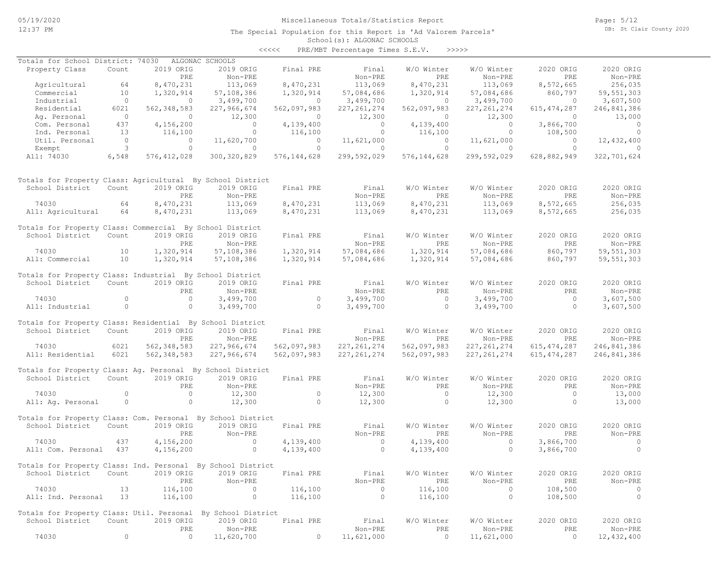Page: 5/12 DB: St Clair County 2020

| くくくくく | PRE/MBT Percentage Times S.E.V. |  |  | >>>>> |
|-------|---------------------------------|--|--|-------|
|-------|---------------------------------|--|--|-------|

| Totals for School District: 74030                            |                |               | ALGONAC SCHOOLS |               |                |               |               |               |              |
|--------------------------------------------------------------|----------------|---------------|-----------------|---------------|----------------|---------------|---------------|---------------|--------------|
| Property Class                                               | Count          | 2019 ORIG     | 2019 ORIG       | Final PRE     | Final          | W/O Winter    | W/O Winter    | 2020 ORIG     | 2020 ORIG    |
|                                                              |                | PRE           | Non-PRE         |               | Non-PRE        | PRE           | Non-PRE       | PRE           | Non-PRE      |
| Agricultural                                                 | 64             | 8,470,231     | 113,069         | 8,470,231     | 113,069        | 8,470,231     | 113,069       | 8,572,665     | 256,035      |
| Commercial                                                   | 10             | 1,320,914     | 57,108,386      | 1,320,914     | 57,084,686     | 1,320,914     | 57,084,686    | 860,797       | 59, 551, 303 |
| Industrial                                                   | $\circ$        | $\circ$       | 3,499,700       | $\circ$       | 3,499,700      | $\circ$       | 3,499,700     | $\circ$       | 3,607,500    |
| Residential                                                  | 6021           | 562, 348, 583 | 227,966,674     | 562,097,983   | 227, 261, 274  | 562,097,983   | 227, 261, 274 | 615, 474, 287 | 246,841,386  |
| Ag. Personal                                                 | $\circ$        | $\circ$       | 12,300          | $\circ$       | 12,300         | $\circ$       | 12,300        | $\circ$       | 13,000       |
| Com. Personal                                                | 437            | 4,156,200     | $\circ$         | 4,139,400     | $\Omega$       | 4,139,400     | $\Omega$      | 3,866,700     | $\circ$      |
| Ind. Personal                                                | 13             | 116,100       | $\circ$         | 116,100       | $\circ$        | 116,100       | $\circ$       | 108,500       | $\circ$      |
| Util. Personal                                               | $\overline{0}$ | $\circ$       | 11,620,700      | $\circ$       | 11,621,000     | $\circ$       | 11,621,000    | $\circ$       | 12,432,400   |
| Exempt                                                       | 3              | $\circ$       | $\circ$         | $\circ$       | $\circ$        | $\circ$       | $\circ$       | $\circ$       | $\Omega$     |
| All: 74030                                                   | 6,548          | 576, 412, 028 | 300, 320, 829   | 576, 144, 628 | 299,592,029    | 576, 144, 628 | 299,592,029   | 628,882,949   | 322,701,624  |
|                                                              |                |               |                 |               |                |               |               |               |              |
| Totals for Property Class: Agricultural By School District   |                |               |                 |               |                |               |               |               |              |
| School District                                              | Count          | 2019 ORIG     | 2019 ORIG       | Final PRE     | Final          | W/O Winter    | W/O Winter    | 2020 ORIG     | 2020 ORIG    |
|                                                              |                | PRE           | Non-PRE         |               | Non-PRE        | <b>PRE</b>    | Non-PRE       | PRE           | Non-PRE      |
| 74030                                                        | 64             | 8,470,231     | 113,069         | 8,470,231     | 113,069        | 8,470,231     | 113,069       | 8,572,665     | 256,035      |
| All: Agricultural                                            | 64             | 8,470,231     | 113,069         | 8,470,231     | 113,069        | 8,470,231     | 113,069       | 8,572,665     | 256,035      |
| Totals for Property Class: Commercial By School District     |                |               |                 |               |                |               |               |               |              |
| School District                                              | Count          | 2019 ORIG     | 2019 ORIG       | Final PRE     | Final          | W/O Winter    | W/O Winter    | 2020 ORIG     | 2020 ORIG    |
|                                                              |                | PRE           | Non-PRE         |               | Non-PRE        | PRE           | Non-PRE       | PRE           | Non-PRE      |
| 74030                                                        | 10             | 1,320,914     | 57,108,386      | 1,320,914     | 57,084,686     | 1,320,914     | 57,084,686    | 860,797       | 59, 551, 303 |
| All: Commercial                                              | 10             | 1,320,914     | 57,108,386      | 1,320,914     | 57,084,686     | 1,320,914     | 57,084,686    | 860,797       | 59, 551, 303 |
| Totals for Property Class: Industrial By School District     |                |               |                 |               |                |               |               |               |              |
| School District                                              | Count          | 2019 ORIG     | 2019 ORIG       | Final PRE     | Final          | W/O Winter    | W/O Winter    | 2020 ORIG     | 2020 ORIG    |
|                                                              |                | PRE           | Non-PRE         |               | Non-PRE        | PRE           | Non-PRE       | PRE           | Non-PRE      |
| 74030                                                        | $\circ$        | $\circ$       | 3,499,700       | $\circ$       | 3,499,700      | $\circ$       | 3,499,700     | $\circ$       | 3,607,500    |
| All: Industrial                                              | $\circ$        | $\circ$       | 3,499,700       | $\circ$       | 3,499,700      | $\circ$       | 3,499,700     | $\circ$       | 3,607,500    |
|                                                              |                |               |                 |               |                |               |               |               |              |
| Totals for Property Class: Residential By School District    |                |               |                 |               |                |               |               |               |              |
| School District                                              | Count          | 2019 ORIG     | 2019 ORIG       | Final PRE     | Final          | W/O Winter    | W/O Winter    | 2020 ORIG     | 2020 ORIG    |
|                                                              |                | PRE           | Non-PRE         |               | Non-PRE        | PRE           | Non-PRE       | PRE           | Non-PRE      |
| 74030                                                        | 6021           | 562, 348, 583 | 227,966,674     | 562,097,983   | 227, 261, 274  | 562,097,983   | 227, 261, 274 | 615, 474, 287 | 246,841,386  |
| All: Residential                                             | 6021           | 562, 348, 583 | 227,966,674     | 562,097,983   | 227, 261, 274  | 562,097,983   | 227, 261, 274 | 615, 474, 287 | 246,841,386  |
|                                                              |                |               |                 |               |                |               |               |               |              |
| Totals for Property Class: Ag. Personal By School District   |                |               |                 |               |                |               |               |               |              |
| School District                                              | Count          | 2019 ORIG     | 2019 ORIG       | Final PRE     | Final          | W/O Winter    | W/O Winter    | 2020 ORIG     | 2020 ORIG    |
|                                                              |                | PRE           | Non-PRE         |               | Non-PRE        | PRE           | Non-PRE       | PRE           | Non-PRE      |
| 74030                                                        | $\circ$        | $\circ$       | 12,300          | $\circ$       | 12,300         | $\Omega$      | 12,300        | $\Omega$      | 13,000       |
| All: Ag. Personal                                            | $\circ$        | $\circ$       | 12,300          | $\circ$       | 12,300         | $\circ$       | 12,300        | $\circ$       | 13,000       |
| Totals for Property Class: Com. Personal By School District  |                |               |                 |               |                |               |               |               |              |
| School District                                              | Count          | 2019 ORIG     | 2019 ORIG       | Final PRE     | Final          | W/O Winter    | W/O Winter    | 2020 ORIG     | 2020 ORIG    |
|                                                              |                | PRE           | $Non-PRE$       |               | Non-PRE        | PRE           | $Non-PRE$     | PRE           | $Non-PRF$    |
| 74030                                                        | 437            | 4,156,200     | $\circ$         | 4,139,400     | $\circ$        | 4,139,400     | $\circ$       | 3,866,700     | $\circ$      |
| All: Com. Personal                                           | 437            | 4,156,200     | $\circ$         | 4,139,400     | $\circ$        | 4,139,400     | $\circ$       | 3,866,700     | $\circ$      |
|                                                              |                |               |                 |               |                |               |               |               |              |
| Totals for Property Class: Ind. Personal By School District  |                |               |                 |               |                |               |               |               |              |
| School District                                              | Count          | 2019 ORIG     | 2019 ORIG       | Final PRE     | Final          | W/O Winter    | W/O Winter    | 2020 ORIG     | 2020 ORIG    |
|                                                              |                | PRE           | Non-PRE         |               | Non-PRE        | PRE           | Non-PRE       | PRE           | Non-PRE      |
| 74030                                                        | 13             | 116,100       | $\circ$         | 116,100       | $\overline{0}$ | 116,100       | $\circ$       | 108,500       | $\circ$      |
| All: Ind. Personal                                           | 13             | 116,100       | $\circ$         | 116,100       | $\circ$        | 116,100       | $\circ$       | 108,500       | $\circ$      |
| Totals for Property Class: Util. Personal By School District |                |               |                 |               |                |               |               |               |              |
| School District                                              | Count          | 2019 ORIG     | 2019 ORIG       | Final PRE     | Final          | W/O Winter    | W/O Winter    | 2020 ORIG     | 2020 ORIG    |
|                                                              |                | PRE           | Non-PRE         |               | Non-PRE        | PRE           | Non-PRE       | PRE           | Non-PRE      |
| 74030                                                        | $\circ$        | 0             | 11,620,700      | 0             | 11,621,000     | $\circ$       | 11,621,000    | 0             | 12,432,400   |
|                                                              |                |               |                 |               |                |               |               |               |              |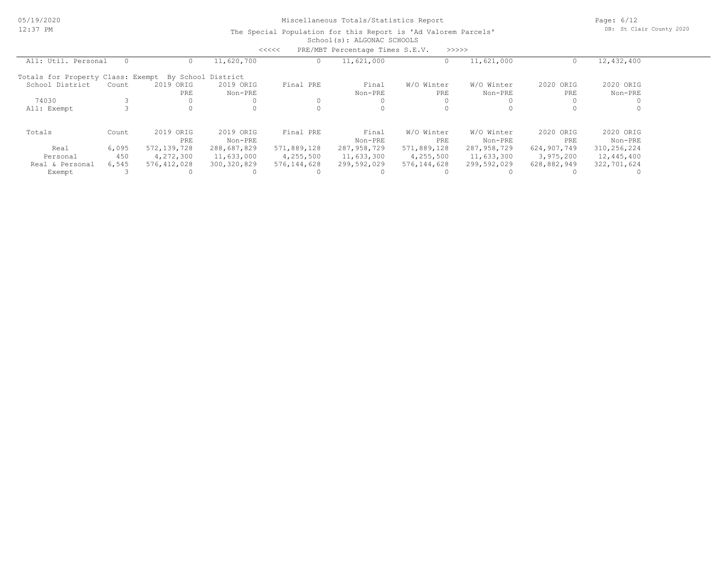Page: 6/12 DB: St Clair County 2020

|                                   |          |                  |                      | <<<<        | PRE/MBT Percentage Times S.E.V. |                   | >>>>>>                |                  |                      |
|-----------------------------------|----------|------------------|----------------------|-------------|---------------------------------|-------------------|-----------------------|------------------|----------------------|
| All: Util. Personal               | $\Omega$ |                  | 11,620,700           |             | 11,621,000                      |                   | 11,621,000            |                  | 12,432,400           |
| Totals for Property Class: Exempt |          |                  | By School District   |             |                                 |                   |                       |                  |                      |
| School District                   | Count    | 2019 ORIG<br>PRE | 2019 ORIG<br>Non-PRE | Final PRE   | Final<br>Non-PRE                | W/O Winter<br>PRE | W/O Winter<br>Non-PRE | 2020 ORIG<br>PRE | 2020 ORIG<br>Non-PRE |
| 74030                             |          |                  |                      |             |                                 |                   |                       |                  |                      |
| All: Exempt                       |          |                  |                      |             |                                 |                   |                       |                  |                      |
| Totals                            | Count    | 2019 ORIG<br>PRE | 2019 ORIG<br>Non-PRE | Final PRE   | Final<br>Non-PRE                | W/O Winter<br>PRE | W/O Winter<br>Non-PRE | 2020 ORIG<br>PRE | 2020 ORIG<br>Non-PRE |
| Real                              | 6,095    | 572,139,728      | 288,687,829          | 571,889,128 | 287,958,729                     | 571,889,128       | 287,958,729           | 624,907,749      | 310,256,224          |
| Personal                          | 450      | 4,272,300        | 11,633,000           | 4,255,500   | 11,633,300                      | 4,255,500         | 11,633,300            | 3,975,200        | 12,445,400           |
| Real & Personal                   | 6,545    | 576,412,028      | 300, 320, 829        | 576,144,628 | 299,592,029                     | 576,144,628       | 299,592,029           | 628,882,949      | 322,701,624          |
| Exempt                            |          |                  |                      |             |                                 |                   |                       |                  |                      |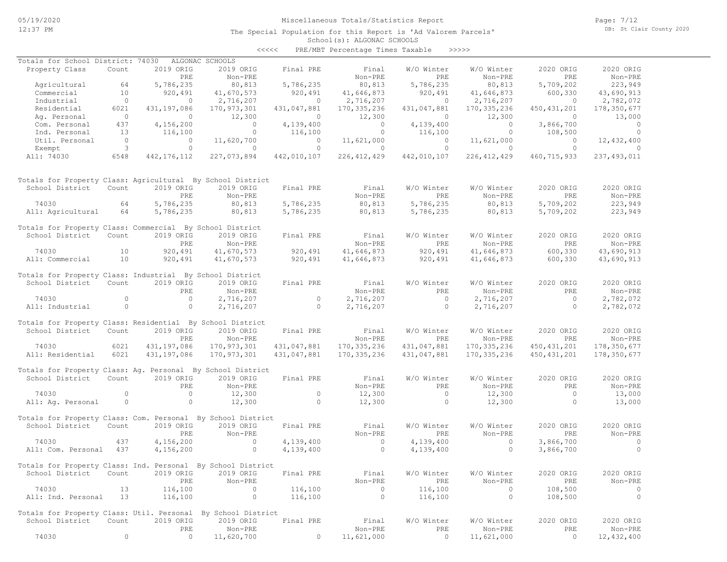Page: 7/12 DB: St Clair County 2020

| くくくくく | PRE/MBT Percentage Times Taxable |  |  | >>>>> |
|-------|----------------------------------|--|--|-------|
|-------|----------------------------------|--|--|-------|

| Totals for School District: 74030                            |                |               | ALGONAC SCHOOLS |             |                |                |                |               |               |
|--------------------------------------------------------------|----------------|---------------|-----------------|-------------|----------------|----------------|----------------|---------------|---------------|
| Property Class                                               | Count          | 2019 ORIG     | 2019 ORIG       | Final PRE   | Final          | W/O Winter     | W/O Winter     | 2020 ORIG     | 2020 ORIG     |
|                                                              |                | PRE           | Non-PRE         |             | Non-PRE        | PRE            | Non-PRE        | PRE           | Non-PRE       |
| Agricultural                                                 | 64             | 5,786,235     | 80,813          | 5,786,235   | 80,813         | 5,786,235      | 80,813         | 5,709,202     | 223,949       |
| Commercial                                                   | 10             | 920,491       | 41,670,573      | 920, 491    | 41,646,873     | 920,491        | 41,646,873     | 600,330       | 43,690,913    |
| Industrial                                                   | $\circ$        | $\circ$       | 2,716,207       | $\circ$     | 2,716,207      | $\circ$        | 2,716,207      | $\circ$       | 2,782,072     |
| Residential                                                  | 6021           | 431,197,086   | 170,973,301     | 431,047,881 | 170,335,236    | 431,047,881    | 170, 335, 236  | 450, 431, 201 | 178,350,677   |
| Ag. Personal                                                 | $\overline{0}$ | $\circ$       | 12,300          | $\circ$     | 12,300         | $\Omega$       | 12,300         | $\circ$       | 13,000        |
| Com. Personal                                                | 437            | 4,156,200     | $\circ$         | 4,139,400   | $\circ$        | 4,139,400      | $\overline{0}$ | 3,866,700     | $\circ$       |
| Ind. Personal                                                | 13             | 116,100       | $\circ$         | 116,100     | $\circ$        | 116,100        | $\circ$        | 108,500       | $\circ$       |
| Util. Personal                                               | $\overline{0}$ | $\mathbf{0}$  | 11,620,700      | $\circ$     | 11,621,000     | $\circ$        | 11,621,000     | $\circ$       | 12,432,400    |
| Exempt                                                       | 3              | $\circ$       | $\circ$         | $\circ$     | $\circ$        | $\circ$        | $\circ$        | $\circ$       | $\Omega$      |
| All: 74030                                                   | 6548           | 442, 176, 112 | 227,073,894     | 442,010,107 | 226, 412, 429  | 442,010,107    | 226, 412, 429  | 460,715,933   | 237, 493, 011 |
|                                                              |                |               |                 |             |                |                |                |               |               |
| Totals for Property Class: Agricultural By School District   |                |               |                 |             |                |                |                |               |               |
| School District                                              | Count          | 2019 ORIG     | 2019 ORIG       | Final PRE   | Final          | W/O Winter     | W/O Winter     | 2020 ORIG     | 2020 ORIG     |
|                                                              |                | PRE           | Non-PRE         |             | Non-PRE        | PRE            | Non-PRE        | PRE           | Non-PRE       |
| 74030                                                        | 64             | 5,786,235     | 80,813          | 5,786,235   | 80,813         | 5,786,235      | 80,813         | 5,709,202     | 223,949       |
| All: Agricultural                                            | 64             | 5,786,235     | 80,813          | 5,786,235   | 80,813         | 5,786,235      | 80,813         | 5,709,202     | 223,949       |
|                                                              |                |               |                 |             |                |                |                |               |               |
| Totals for Property Class: Commercial By School District     |                |               |                 |             |                |                |                |               |               |
| School District                                              | Count          | 2019 ORIG     | 2019 ORIG       | Final PRE   | Final          | W/O Winter     | W/O Winter     | 2020 ORIG     | 2020 ORIG     |
|                                                              |                | PRE           | Non-PRE         |             | Non-PRE        | PRE            | Non-PRE        | PRE           | Non-PRE       |
| 74030                                                        | 10             | 920,491       | 41,670,573      | 920,491     | 41,646,873     | 920,491        | 41,646,873     | 600,330       | 43,690,913    |
| All: Commercial                                              | 10             | 920,491       | 41,670,573      | 920,491     | 41,646,873     | 920,491        | 41,646,873     | 600,330       | 43,690,913    |
|                                                              |                |               |                 |             |                |                |                |               |               |
| Totals for Property Class: Industrial By School District     |                |               |                 |             |                |                |                |               |               |
| School District                                              | Count          | 2019 ORIG     | 2019 ORIG       | Final PRE   | Final          | W/O Winter     | W/O Winter     | 2020 ORIG     | 2020 ORIG     |
|                                                              |                | PRE           | Non-PRE         |             | Non-PRE        | PRE            | Non-PRE        | PRE           | Non-PRE       |
| 74030                                                        | $\circ$        | $\circ$       | 2,716,207       | $\circ$     | 2,716,207      | $\circ$        | 2,716,207      | $\circ$       | 2,782,072     |
|                                                              | $\circ$        | $\circ$       | 2,716,207       | $\circ$     |                | $\circ$        |                | $\circ$       | 2,782,072     |
| All: Industrial                                              |                |               |                 |             | 2,716,207      |                | 2,716,207      |               |               |
| Totals for Property Class: Residential By School District    |                |               |                 |             |                |                |                |               |               |
|                                                              |                |               |                 |             |                |                |                |               |               |
| School District                                              | Count          | 2019 ORIG     | 2019 ORIG       | Final PRE   | Final          | W/O Winter     | W/O Winter     | 2020 ORIG     | 2020 ORIG     |
|                                                              |                | PRE           | Non-PRE         |             | Non-PRE        | PRE            | Non-PRE        | PRE           | Non-PRE       |
| 74030                                                        | 6021           | 431,197,086   | 170,973,301     | 431,047,881 | 170, 335, 236  | 431,047,881    | 170, 335, 236  | 450, 431, 201 | 178,350,677   |
| All: Residential                                             | 6021           | 431,197,086   | 170, 973, 301   | 431,047,881 | 170, 335, 236  | 431,047,881    | 170, 335, 236  | 450, 431, 201 | 178,350,677   |
|                                                              |                |               |                 |             |                |                |                |               |               |
| Totals for Property Class: Aq. Personal By School District   |                |               |                 |             |                |                |                |               |               |
| School District                                              | Count          | 2019 ORIG     | 2019 ORIG       | Final PRE   | Final          | W/O Winter     | W/O Winter     | 2020 ORIG     | 2020 ORIG     |
|                                                              |                | PRE           | Non-PRE         |             | Non-PRE        | PRE            | Non-PRE        | PRE           | Non-PRE       |
| 74030                                                        | $\circ$        | $\circ$       | 12,300          | $\circ$     | 12,300         | $\overline{0}$ | 12,300         | $\circ$       | 13,000        |
| All: Aq. Personal                                            | $\circ$        | $\circ$       | 12,300          | $\circ$     | 12,300         | $\circ$        | 12,300         | $\circ$       | 13,000        |
|                                                              |                |               |                 |             |                |                |                |               |               |
| Totals for Property Class: Com. Personal By School District  |                |               |                 |             |                |                |                |               |               |
| School District                                              | Count          | 2019 ORIG     | 2019 ORIG       | Final PRE   | Final          | W/O Winter     | W/O Winter     | 2020 ORIG     | 2020 ORIG     |
|                                                              |                | PRE           | Non-PRE         |             | Non-PRE        | PRE            | Non-PRE        | PRE           | Non-PRE       |
| 74030                                                        | 437            | 4,156,200     | $\mathbf{0}$    | 4,139,400   | $\circ$        | 4,139,400      | $\circ$        | 3,866,700     | $\circ$       |
| All: Com. Personal                                           | 437            | 4,156,200     | $\circ$         | 4,139,400   | $\circ$        | 4,139,400      | $\circ$        | 3,866,700     | $\circ$       |
|                                                              |                |               |                 |             |                |                |                |               |               |
| Totals for Property Class: Ind. Personal By School District  |                |               |                 |             |                |                |                |               |               |
| School District                                              | Count          | 2019 ORIG     | 2019 ORIG       | Final PRE   | Final          | W/O Winter     | W/O Winter     | 2020 ORIG     | 2020 ORIG     |
|                                                              |                | PRE           | Non-PRE         |             | Non-PRE        | PRE            | Non-PRE        | PRE           | Non-PRE       |
| 74030                                                        | 13             | 116,100       | $\mathbf{0}$    | 116,100     | $\overline{0}$ | 116,100        | $\circ$        | 108,500       | $\circ$       |
| All: Ind. Personal                                           | 13             | 116,100       | $\circ$         | 116,100     | $\overline{0}$ | 116,100        | $\circ$        | 108,500       | $\circ$       |
|                                                              |                |               |                 |             |                |                |                |               |               |
| Totals for Property Class: Util. Personal By School District |                |               |                 |             |                |                |                |               |               |
| School District                                              | Count          | 2019 ORIG     | 2019 ORIG       | Final PRE   | Final          | W/O Winter     | W/O Winter     | 2020 ORIG     | 2020 ORIG     |
|                                                              |                | PRE           | Non-PRE         |             | Non-PRE        | PRE            | Non-PRE        | PRE           | Non-PRE       |
| 74030                                                        | 0              | $\circ$       | 11,620,700      | $\circ$     | 11,621,000     | $\overline{0}$ | 11,621,000     | $\circ$       | 12,432,400    |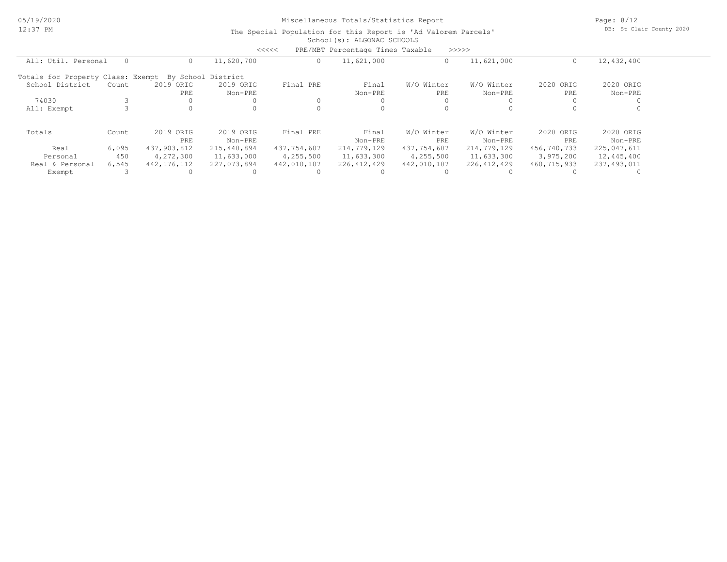Page: 8/12 DB: St Clair County 2020

|                                   |       |             |                    | <<<<        | PRE/MBT Percentage Times Taxable |             | >>>>>         |             |             |  |
|-----------------------------------|-------|-------------|--------------------|-------------|----------------------------------|-------------|---------------|-------------|-------------|--|
| All: Util. Personal               |       |             | 11,620,700         |             | 11,621,000                       |             | 11,621,000    | O           | 12,432,400  |  |
| Totals for Property Class: Exempt |       |             | By School District |             |                                  |             |               |             |             |  |
| School District                   | Count | 2019 ORIG   | 2019 ORIG          | Final PRE   | Final                            | W/O Winter  | W/O Winter    | 2020 ORIG   | 2020 ORIG   |  |
|                                   |       | PRE         | Non-PRE            |             | Non-PRE                          | PRE         | Non-PRE       | PRE         | Non-PRE     |  |
| 74030                             |       |             |                    |             |                                  |             |               |             |             |  |
| All: Exempt                       |       |             |                    |             |                                  |             |               |             |             |  |
| Totals                            | Count | 2019 ORIG   | 2019 ORIG          | Final PRE   | Final                            | W/O Winter  | W/O Winter    | 2020 ORIG   | 2020 ORIG   |  |
|                                   |       | PRE         | Non-PRE            |             | Non-PRE                          | PRE         | Non-PRE       | PRE         | Non-PRE     |  |
| Real                              | 6,095 | 437,903,812 | 215,440,894        | 437,754,607 | 214,779,129                      | 437,754,607 | 214,779,129   | 456,740,733 | 225,047,611 |  |
| Personal                          | 450   | 4,272,300   | 11,633,000         | 4,255,500   | 11,633,300                       | 4,255,500   | 11,633,300    | 3,975,200   | 12,445,400  |  |
| Real & Personal                   | 6,545 | 442,176,112 | 227,073,894        | 442,010,107 | 226, 412, 429                    | 442,010,107 | 226, 412, 429 | 460,715,933 | 237,493,011 |  |
| Exempt                            |       |             |                    |             |                                  |             |               |             |             |  |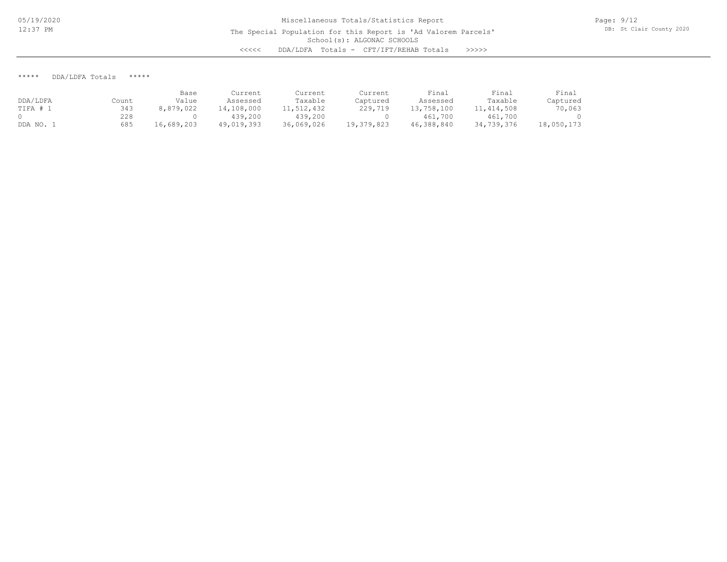\*\*\*\*\* DDA/LDFA Totals \*\*\*\*\*

|          |       | Base       | Current    | Current    | Current    | Final      | Final        | Final      |
|----------|-------|------------|------------|------------|------------|------------|--------------|------------|
| DDA/LDFA | Count | Value      | Assessed   | Taxable    | Captured   | Assessed   | Taxable      | Captured   |
| TIFA # 1 | 343   | 8,879,022  | 14,108,000 | 11,512,432 | 229,719    | 13,758,100 | 11, 414, 508 | 70,063     |
|          | 228   |            | 439,200    | 439,200    |            | 461,700    | 461,700      |            |
| DDA NO.  | 685   | 16,689,203 | 49,019,393 | 36,069,026 | 19,379,823 | 46,388,840 | 34,739,376   | 18,050,173 |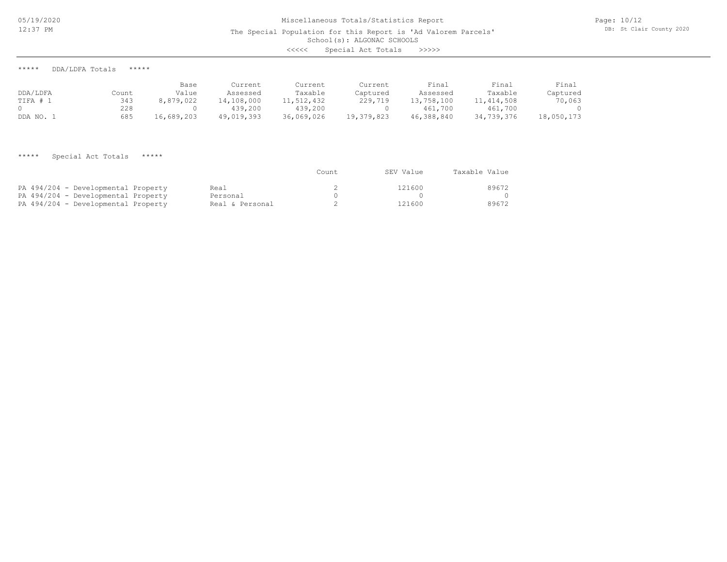School(s): ALGONAC SCHOOLS

<<<<< Special Act Totals >>>>>

\*\*\*\*\* DDA/LDFA Totals \*\*\*\*\*

| DDA/LDFA | Count | Base<br>Value | Current<br>Assessed | Current<br>Taxable | Current<br>Captured | Final<br>Assessed | Final<br>Taxable | Final<br>Captured |
|----------|-------|---------------|---------------------|--------------------|---------------------|-------------------|------------------|-------------------|
| TIFA # . | 343   | 8,879,022     | 14,108,000          | 11,512,432         | 229,719             | 13,758,100        | 11,414,508       | 70,063            |
|          | 228   |               | 439,200             | 439,200            |                     | 461,700           | 461,700          |                   |
| DDA NO.  | 685   | 16,689,203    | 49,019,393          | 36,069,026         | 19,379,823          | 46,388,840        | 34,739,376       | 18,050,173        |

\*\*\*\*\* Special Act Totals \*\*\*\*\*

|                                     |                 | Count | SEV Value | Taxable Value |
|-------------------------------------|-----------------|-------|-----------|---------------|
| PA 494/204 - Developmental Property | Real            |       | 121600    | 89672         |
| PA 494/204 - Developmental Property | Personal        |       |           |               |
| PA 494/204 - Developmental Property | Real & Personal |       | 121600    | 89672         |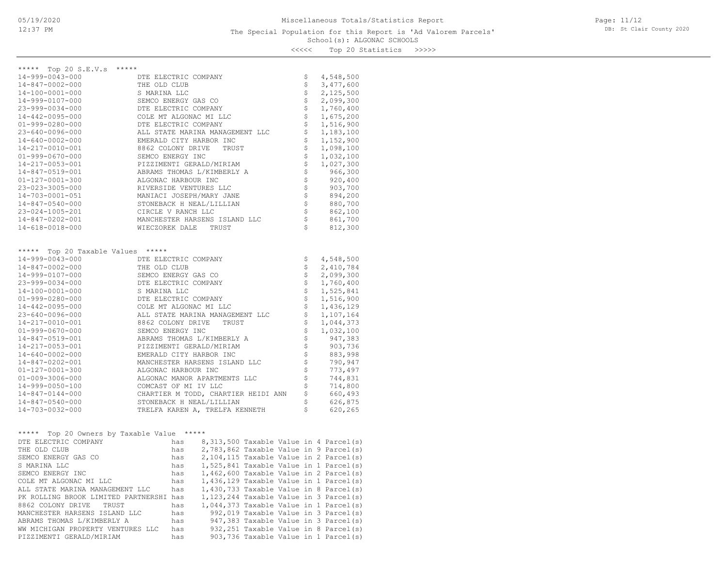## School(s): ALGONAC SCHOOLS The Special Population for this Report is 'Ad Valorem Parcels'

Page: 11/12 DB: St Clair County 2020

<<<<< Top 20 Statistics >>>>>

| ***** Top 20 S.E.V.s *****                 |                                       |     |                                            |  |                   |                                       |  |
|--------------------------------------------|---------------------------------------|-----|--------------------------------------------|--|-------------------|---------------------------------------|--|
| 14-999-0043-000                            | DTE ELECTRIC COMPANY                  |     |                                            |  | \$                | 4,548,500                             |  |
| 14-847-0002-000                            | THE OLD CLUB                          |     |                                            |  | \$                | 3,477,600                             |  |
| 14-100-0001-000                            | S MARINA LLC                          |     |                                            |  | \$                | 2,125,500                             |  |
| 14-999-0107-000                            | SEMCO ENERGY GAS CO                   |     |                                            |  | \$                | 2,099,300                             |  |
| 23-999-0034-000                            | DTE ELECTRIC COMPANY                  |     |                                            |  | \$                | 1,760,400                             |  |
| 14-442-0095-000                            |                                       |     | COLE MT ALGONAC MI LLC                     |  | \$                | 1,675,200                             |  |
| 01-999-0280-000                            | DTE ELECTRIC COMPANY                  |     |                                            |  | $\frac{1}{2}$     | 1,516,900                             |  |
| 23-640-0096-000                            |                                       |     | ALL STATE MARINA MANAGEMENT LLC            |  |                   | 1,183,100                             |  |
| 14-640-0002-000                            |                                       |     | EMERALD CITY HARBOR INC                    |  | $\frac{1}{2}$     | 1,152,900                             |  |
| 14-217-0010-001                            | 8862 COLONY DRIVE                     |     | TRUST                                      |  |                   | 1,098,100                             |  |
| $01 - 999 - 0670 - 000$                    | SEMCO ENERGY INC                      |     |                                            |  |                   | 1,032,100                             |  |
| 14-217-0053-001                            |                                       |     | PIZZIMENTI GERALD/MIRIAM                   |  | なみ                | 1,027,300                             |  |
| 14-847-0519-001                            |                                       |     | ABRAMS THOMAS L/KIMBERLY A                 |  |                   | 966,300                               |  |
| $01 - 127 - 0001 - 300$                    | ALGONAC HARBOUR INC                   |     |                                            |  | $\dot{\varsigma}$ | 920,400                               |  |
| 23-023-3005-000                            |                                       |     | RIVERSIDE VENTURES LLC                     |  | \$\$\$            | 903,700                               |  |
| 14-703-0001-051                            |                                       |     | MANIACI JOSEPH/MARY JANE                   |  |                   | 894,200                               |  |
| 14-847-0540-000                            |                                       |     | STONEBACK H NEAL/LILLIAN                   |  | $\dot{\varsigma}$ | 880,700                               |  |
| 23-024-1005-201                            | CIRCLE V RANCH LLC                    |     |                                            |  | \$                | 862,100                               |  |
| 14-847-0202-001                            |                                       |     | MANCHESTER HARSENS ISLAND LLC              |  | \$                | 861,700                               |  |
| 14-618-0018-000                            | WIECZOREK DALE                        |     | TRUST                                      |  |                   | 812,300                               |  |
|                                            |                                       |     |                                            |  |                   |                                       |  |
| ***** Top 20 Taxable Values *****          |                                       |     |                                            |  |                   |                                       |  |
| 14-999-0043-000                            | DTE ELECTRIC COMPANY                  |     |                                            |  | \$                | 4,548,500                             |  |
| 14-847-0002-000                            | THE OLD CLUB                          |     |                                            |  | \$                | 2,410,784                             |  |
| 14-999-0107-000                            | SEMCO ENERGY GAS CO                   |     |                                            |  | \$                | 2,099,300                             |  |
| 23-999-0034-000                            | DTE ELECTRIC COMPANY                  |     |                                            |  | \$                | 1,760,400                             |  |
| 14-100-0001-000                            | S MARINA LLC                          |     |                                            |  | \$                | 1,525,841                             |  |
| $01 - 999 - 0280 - 000$                    | DTE ELECTRIC COMPANY                  |     |                                            |  | \$                | 1,516,900                             |  |
| 14-442-0095-000                            |                                       |     | COLE MT ALGONAC MI LLC                     |  | \$<br>\$          | 1,436,129                             |  |
| 23-640-0096-000                            |                                       |     | ALL STATE MARINA MANAGEMENT LLC            |  |                   | 1,107,164<br>1,044,373                |  |
| 14-217-0010-001                            | 8862 COLONY DRIVE<br>SEMCO ENERGY INC |     | TRUST                                      |  | $\frac{1}{2}$     |                                       |  |
| $01 - 999 - 0670 - 000$<br>14-847-0519-001 |                                       |     | ABRAMS THOMAS L/KIMBERLY A                 |  |                   | 1,032,100<br>947,383                  |  |
| 14-217-0053-001                            |                                       |     | PIZZIMENTI GERALD/MIRIAM                   |  | .<br>\$           | 903,736                               |  |
| 14-640-0002-000                            |                                       |     | EMERALD CITY HARBOR INC                    |  | \$                | 883,998                               |  |
| 14-847-0202-001                            |                                       |     | MANCHESTER HARSENS ISLAND LLC              |  | \$                | 790,947                               |  |
| $01 - 127 - 0001 - 300$                    | ALGONAC HARBOUR INC                   |     |                                            |  | \$                | 773,497                               |  |
| $01 - 009 - 3006 - 000$                    |                                       |     | ALGONAC MANOR APARTMENTS LLC               |  | \$                | 744,831                               |  |
| 14-999-0050-100                            |                                       |     | COMCAST OF MI IV LLC                       |  | \$                | 714,800                               |  |
| 14-847-0144-000                            |                                       |     | CHARTIER M TODD, CHARTIER HEIDI ANN        |  | \$                | 660,493                               |  |
| 14-847-0540-000                            |                                       |     | STONEBACK H NEAL/LILLIAN                   |  | \$                | 626,875                               |  |
| 14-703-0032-000                            |                                       |     | TRELFA KAREN A, TRELFA KENNETH             |  | \$                | 620,265                               |  |
|                                            |                                       |     |                                            |  |                   |                                       |  |
| ***** Top 20 Owners by Taxable Value ***** |                                       |     |                                            |  |                   |                                       |  |
| DTE ELECTRIC COMPANY                       |                                       |     | has 8,313,500 Taxable Value in 4 Parcel(s) |  |                   |                                       |  |
| THE OLD CLUB                               |                                       | has | 2,783,862 Taxable Value in 9 Parcel(s)     |  |                   |                                       |  |
| SEMCO ENERGY GAS CO                        |                                       | has | $2,104,115$ Taxable Value in 2 Parcel(s)   |  |                   |                                       |  |
| S MARINA LLC                               |                                       | has | $1,525,841$ Taxable Value in 1 Parcel(s)   |  |                   |                                       |  |
| SEMCO ENERGY INC                           |                                       |     | 1,462,600 Taxable Value in 2 Parcel(s)     |  |                   |                                       |  |
| COLE MT ALGONAC MI LLC                     |                                       |     | 1,436,129 Taxable Value in 1 Parcel(s)     |  |                   |                                       |  |
| ALL STATE MARINA MANAGEMENT LLC            |                                       |     | 1,430,733 Taxable Value in 8 Parcel(s)     |  |                   |                                       |  |
| PK ROLLING BROOK LIMITED PARTNERSHI has    |                                       |     | 1,123,244 Taxable Value in 3 Parcel(s)     |  |                   |                                       |  |
| 8862 COLONY DRIVE<br>TRUST                 |                                       |     | 1,044,373 Taxable Value in 1 Parcel(s)     |  |                   |                                       |  |
| MANCHESTER HARSENS ISLAND LLC              |                                       |     |                                            |  |                   | 992,019 Taxable Value in 3 Parcel(s)  |  |
| ABRAMS THOMAS L/KIMBERLY A                 |                                       |     |                                            |  |                   | 947,383 Taxable Value in 3 Parcel(s)  |  |
| WW MICHIGAN PROPERTY VENTURES LLC          |                                       |     |                                            |  |                   | 932, 251 Taxable Value in 8 Parcel(s) |  |
| PIZZIMENTI GERALD/MIRIAM                   |                                       |     |                                            |  |                   | 903,736 Taxable Value in 1 Parcel(s)  |  |